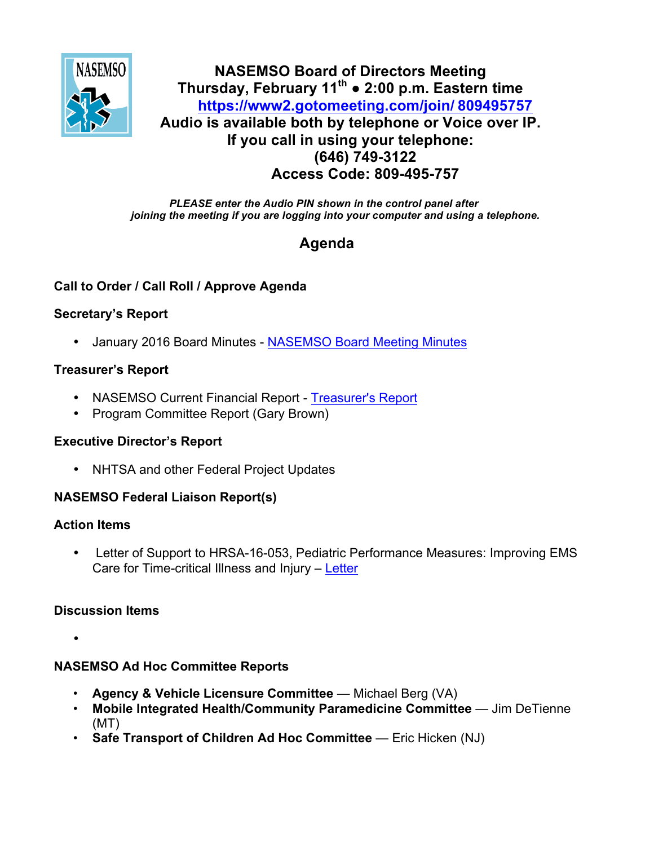

# **NASEMSO Board of Directors Meeting Thursday, February 11th ● 2:00 p.m. Eastern time [https://www2.gotomeeting.com/join/](https://www2.gotomeeting.com/join/ 809495757) 809495757 Audio is available both by telephone or Voice over IP. If you call in using your telephone: (646) 749-3122 Access Code: 809-495-757**

*PLEASE enter the Audio PIN shown in the control panel after joining the meeting if you are logging into your computer and using a telephone.*

# **Agenda**

# **Call to Order / Call Roll / Approve Agenda**

### **Secretary's Report**

• January 2016 Board Minutes - [NASEMSO Board Meeting Minutes](https://www.nasemso.org/Members/Board/documents/NASEMSO-Board-Minutes-14Jan2016.pdf)

# **Treasurer's Report**

- NASEMSO Current Financial Report [Treasurer's Report](https://www.nasemso.org/Members/Board/documents/NASEMSO-Treasurers-Report-31Jan2016.xlsx)
- Program Committee Report (Gary Brown)

#### **Executive Director's Report**

• NHTSA and other Federal Project Updates

# **NASEMSO Federal Liaison Report(s)**

#### **Action Items**

Letter of Support to HRSA-16-053, Pediatric Performance Measures: Improving EMS Care for Time-critical Illness and Injury – [Letter](https://www.nasemso.org/Members/Board/documents/NASEMSO_LetterofSupport_1.30.16.pdf)

# **Discussion Items**

•

# **NASEMSO Ad Hoc Committee Reports**

- **Agency & Vehicle Licensure Committee** Michael Berg (VA)
- **Mobile Integrated Health/Community Paramedicine Committee** Jim DeTienne (MT)
- **Safe Transport of Children Ad Hoc Committee** Eric Hicken (NJ)